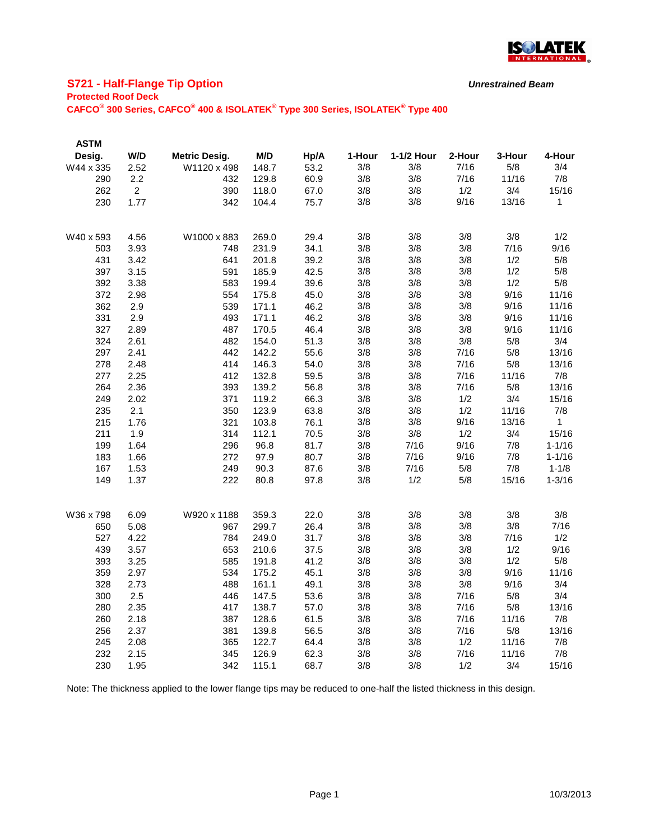

## **S721 - Half-Flange Tip Option**

**Protected Roof Deck**

**CAFCO® 300 Series, CAFCO® 400 & ISOLATEK® Type 300 Series, ISOLATEK® Type 400**

| <b>ASTM</b> |                |                      |       |      |        |            |        |        |            |
|-------------|----------------|----------------------|-------|------|--------|------------|--------|--------|------------|
| Desig.      | W/D            | <b>Metric Desig.</b> | M/D   | Hp/A | 1-Hour | 1-1/2 Hour | 2-Hour | 3-Hour | 4-Hour     |
| W44 x 335   | 2.52           | W1120 x 498          | 148.7 | 53.2 | 3/8    | 3/8        | 7/16   | 5/8    | 3/4        |
| 290         | 2.2            | 432                  | 129.8 | 60.9 | 3/8    | 3/8        | 7/16   | 11/16  | 7/8        |
| 262         | $\overline{2}$ | 390                  | 118.0 | 67.0 | 3/8    | 3/8        | 1/2    | 3/4    | 15/16      |
| 230         | 1.77           | 342                  | 104.4 | 75.7 | 3/8    | 3/8        | 9/16   | 13/16  | 1          |
|             |                |                      |       |      |        |            |        |        |            |
| W40 x 593   | 4.56           | W1000 x 883          | 269.0 | 29.4 | 3/8    | 3/8        | 3/8    | 3/8    | 1/2        |
| 503         | 3.93           | 748                  | 231.9 | 34.1 | 3/8    | 3/8        | 3/8    | 7/16   | 9/16       |
| 431         | 3.42           | 641                  | 201.8 | 39.2 | 3/8    | 3/8        | 3/8    | 1/2    | 5/8        |
| 397         | 3.15           | 591                  | 185.9 | 42.5 | 3/8    | 3/8        | 3/8    | 1/2    | 5/8        |
| 392         | 3.38           | 583                  | 199.4 | 39.6 | 3/8    | 3/8        | 3/8    | 1/2    | 5/8        |
| 372         | 2.98           | 554                  | 175.8 | 45.0 | 3/8    | 3/8        | 3/8    | 9/16   | 11/16      |
| 362         | 2.9            | 539                  | 171.1 | 46.2 | 3/8    | 3/8        | 3/8    | 9/16   | 11/16      |
| 331         | 2.9            | 493                  | 171.1 | 46.2 | 3/8    | 3/8        | 3/8    | 9/16   | 11/16      |
| 327         | 2.89           | 487                  | 170.5 | 46.4 | 3/8    | 3/8        | 3/8    | 9/16   | 11/16      |
| 324         | 2.61           | 482                  | 154.0 | 51.3 | 3/8    | 3/8        | 3/8    | 5/8    | 3/4        |
| 297         | 2.41           | 442                  | 142.2 | 55.6 | 3/8    | 3/8        | 7/16   | 5/8    | 13/16      |
| 278         | 2.48           | 414                  | 146.3 | 54.0 | 3/8    | 3/8        | 7/16   | 5/8    | 13/16      |
| 277         | 2.25           | 412                  | 132.8 | 59.5 | 3/8    | 3/8        | 7/16   | 11/16  | 7/8        |
| 264         | 2.36           | 393                  | 139.2 | 56.8 | 3/8    | 3/8        | 7/16   | 5/8    | 13/16      |
| 249         | 2.02           | 371                  | 119.2 | 66.3 | 3/8    | 3/8        | 1/2    | 3/4    | 15/16      |
| 235         | 2.1            | 350                  | 123.9 | 63.8 | 3/8    | 3/8        | 1/2    | 11/16  |            |
|             |                | 321                  |       |      |        |            |        | 13/16  | 7/8        |
| 215         | 1.76           |                      | 103.8 | 76.1 | 3/8    | 3/8        | 9/16   |        | 1          |
| 211         | 1.9            | 314                  | 112.1 | 70.5 | 3/8    | 3/8        | 1/2    | 3/4    | 15/16      |
| 199         | 1.64           | 296                  | 96.8  | 81.7 | 3/8    | 7/16       | 9/16   | 7/8    | $1 - 1/16$ |
| 183         | 1.66           | 272                  | 97.9  | 80.7 | 3/8    | 7/16       | 9/16   | 7/8    | $1 - 1/16$ |
| 167         | 1.53           | 249                  | 90.3  | 87.6 | 3/8    | 7/16       | 5/8    | 7/8    | $1 - 1/8$  |
| 149         | 1.37           | 222                  | 80.8  | 97.8 | 3/8    | 1/2        | 5/8    | 15/16  | $1 - 3/16$ |
|             |                |                      |       |      |        |            |        |        |            |
| W36 x 798   | 6.09           | W920 x 1188          | 359.3 | 22.0 | 3/8    | 3/8        | 3/8    | 3/8    | 3/8        |
| 650         | 5.08           | 967                  | 299.7 | 26.4 | 3/8    | 3/8        | 3/8    | 3/8    | 7/16       |
| 527         | 4.22           | 784                  | 249.0 | 31.7 | 3/8    | 3/8        | 3/8    | 7/16   | 1/2        |
| 439         | 3.57           | 653                  | 210.6 | 37.5 | 3/8    | 3/8        | 3/8    | 1/2    | 9/16       |
| 393         | 3.25           | 585                  | 191.8 | 41.2 | 3/8    | 3/8        | 3/8    | 1/2    | 5/8        |
| 359         | 2.97           | 534                  | 175.2 | 45.1 | 3/8    | 3/8        | 3/8    | 9/16   | 11/16      |
| 328         | 2.73           | 488                  | 161.1 | 49.1 | 3/8    | 3/8        | 3/8    | 9/16   | 3/4        |
| 300         | 2.5            | 446                  | 147.5 | 53.6 | 3/8    | 3/8        | 7/16   | 5/8    | 3/4        |
| 280         | 2.35           | 417                  | 138.7 | 57.0 | 3/8    | 3/8        | 7/16   | 5/8    | 13/16      |
| 260         | 2.18           | 387                  | 128.6 | 61.5 | 3/8    | 3/8        | 7/16   | 11/16  | 7/8        |
| 256         | 2.37           | 381                  | 139.8 | 56.5 | 3/8    | 3/8        | 7/16   | 5/8    | 13/16      |
| 245         | 2.08           | 365                  | 122.7 | 64.4 | 3/8    | 3/8        | 1/2    | 11/16  | 7/8        |
| 232         | 2.15           | 345                  | 126.9 | 62.3 | 3/8    | 3/8        | 7/16   | 11/16  | 7/8        |
| 230         | 1.95           | 342                  | 115.1 | 68.7 | 3/8    | 3/8        | 1/2    | 3/4    | 15/16      |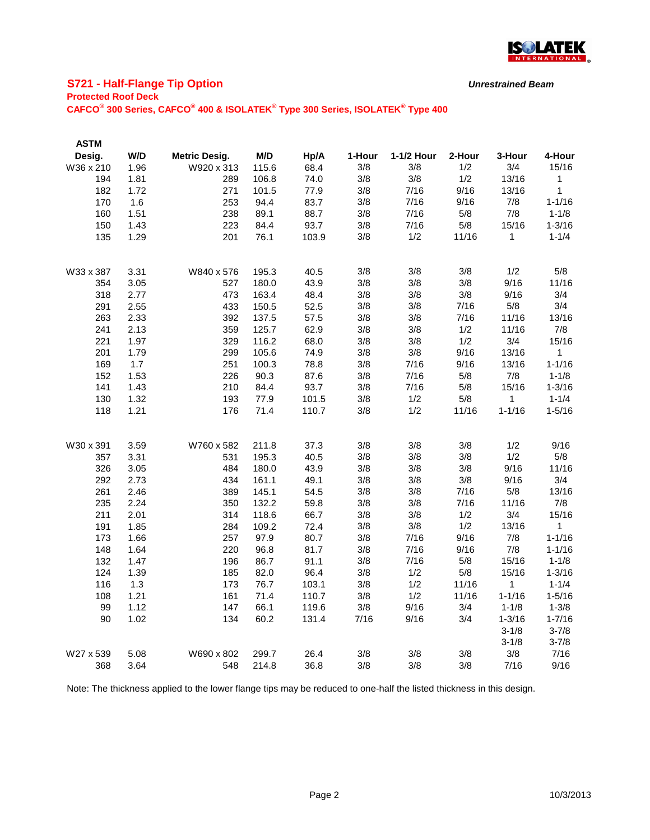

# **S721 - Half-Flange Tip Option**

**Protected Roof Deck**

**CAFCO® 300 Series, CAFCO® 400 & ISOLATEK® Type 300 Series, ISOLATEK® Type 400**

| <b>ASTM</b> |      |                      |       |       |        |            |        |            |              |
|-------------|------|----------------------|-------|-------|--------|------------|--------|------------|--------------|
| Desig.      | W/D  | <b>Metric Desig.</b> | M/D   | Hp/A  | 1-Hour | 1-1/2 Hour | 2-Hour | 3-Hour     | 4-Hour       |
| W36 x 210   | 1.96 | W920 x 313           | 115.6 | 68.4  | 3/8    | 3/8        | 1/2    | 3/4        | 15/16        |
| 194         | 1.81 | 289                  | 106.8 | 74.0  | 3/8    | 3/8        | 1/2    | 13/16      | $\mathbf{1}$ |
| 182         | 1.72 | 271                  | 101.5 | 77.9  | 3/8    | 7/16       | 9/16   | 13/16      | $\mathbf{1}$ |
| 170         | 1.6  | 253                  | 94.4  | 83.7  | 3/8    | 7/16       | 9/16   | 7/8        | $1 - 1/16$   |
| 160         | 1.51 | 238                  | 89.1  | 88.7  | 3/8    | 7/16       | 5/8    | 7/8        | $1 - 1/8$    |
| 150         | 1.43 | 223                  | 84.4  | 93.7  | 3/8    | 7/16       | 5/8    | 15/16      | $1 - 3/16$   |
| 135         | 1.29 | 201                  | 76.1  | 103.9 | 3/8    | 1/2        | 11/16  | 1          | $1 - 1/4$    |
| W33 x 387   | 3.31 | W840 x 576           | 195.3 | 40.5  | 3/8    | 3/8        | 3/8    | 1/2        | 5/8          |
| 354         | 3.05 | 527                  | 180.0 | 43.9  | 3/8    | 3/8        | 3/8    | 9/16       | 11/16        |
| 318         | 2.77 | 473                  | 163.4 | 48.4  | 3/8    | 3/8        | 3/8    | 9/16       | 3/4          |
| 291         | 2.55 | 433                  | 150.5 | 52.5  | 3/8    | 3/8        | 7/16   | 5/8        | 3/4          |
| 263         | 2.33 | 392                  | 137.5 | 57.5  | 3/8    | 3/8        | 7/16   | 11/16      | 13/16        |
| 241         | 2.13 | 359                  | 125.7 | 62.9  | 3/8    | 3/8        | 1/2    | 11/16      | 7/8          |
| 221         | 1.97 | 329                  | 116.2 | 68.0  | 3/8    | 3/8        | 1/2    | 3/4        | 15/16        |
| 201         | 1.79 | 299                  | 105.6 | 74.9  | 3/8    | 3/8        | 9/16   | 13/16      | 1            |
| 169         | 1.7  | 251                  | 100.3 | 78.8  | 3/8    | 7/16       | 9/16   | 13/16      | $1 - 1/16$   |
| 152         | 1.53 | 226                  | 90.3  | 87.6  | 3/8    | 7/16       | 5/8    | 7/8        | $1 - 1/8$    |
| 141         | 1.43 | 210                  | 84.4  | 93.7  | 3/8    | 7/16       | 5/8    | 15/16      | $1 - 3/16$   |
| 130         | 1.32 | 193                  | 77.9  | 101.5 | 3/8    | 1/2        | 5/8    | 1          | $1 - 1/4$    |
| 118         | 1.21 | 176                  | 71.4  | 110.7 | 3/8    | 1/2        | 11/16  | $1 - 1/16$ | $1 - 5/16$   |
| W30 x 391   | 3.59 | W760 x 582           | 211.8 | 37.3  | 3/8    | 3/8        | 3/8    | 1/2        | 9/16         |
| 357         | 3.31 | 531                  | 195.3 | 40.5  | 3/8    | 3/8        | 3/8    | 1/2        | 5/8          |
| 326         | 3.05 | 484                  | 180.0 | 43.9  | 3/8    | 3/8        | 3/8    | 9/16       | 11/16        |
| 292         | 2.73 | 434                  | 161.1 | 49.1  | 3/8    | 3/8        | 3/8    | 9/16       | 3/4          |
| 261         | 2.46 | 389                  | 145.1 | 54.5  | 3/8    | 3/8        | 7/16   | 5/8        | 13/16        |
| 235         | 2.24 | 350                  | 132.2 | 59.8  | 3/8    | 3/8        | 7/16   | 11/16      | 7/8          |
| 211         | 2.01 | 314                  | 118.6 | 66.7  | 3/8    | 3/8        | 1/2    | 3/4        | 15/16        |
| 191         | 1.85 | 284                  | 109.2 | 72.4  | 3/8    | 3/8        | 1/2    | 13/16      | 1            |
| 173         | 1.66 | 257                  | 97.9  | 80.7  | 3/8    | 7/16       | 9/16   | 7/8        | $1 - 1/16$   |
| 148         | 1.64 | 220                  | 96.8  | 81.7  | 3/8    | 7/16       | 9/16   | 7/8        | $1 - 1/16$   |
| 132         | 1.47 | 196                  | 86.7  | 91.1  | 3/8    | $7/16$     | 5/8    | 15/16      | $1 - 1/8$    |
| 124         | 1.39 | 185                  | 82.0  | 96.4  | 3/8    | 1/2        | 5/8    | 15/16      | $1 - 3/16$   |
| 116         | 1.3  | 173                  | 76.7  | 103.1 | 3/8    | 1/2        | 11/16  | 1          | $1 - 1/4$    |
| 108         | 1.21 | 161                  | 71.4  | 110.7 | 3/8    | 1/2        | 11/16  | $1 - 1/16$ | $1 - 5/16$   |
| 99          | 1.12 | 147                  | 66.1  | 119.6 | 3/8    | 9/16       | 3/4    | $1 - 1/8$  | $1 - 3/8$    |
| 90          | 1.02 | 134                  | 60.2  | 131.4 | 7/16   | 9/16       | 3/4    | $1 - 3/16$ | $1 - 7/16$   |
|             |      |                      |       |       |        |            |        | $3 - 1/8$  | $3 - 7/8$    |
|             |      |                      |       |       |        |            |        | $3 - 1/8$  | $3 - 7/8$    |
| W27 x 539   | 5.08 | W690 x 802           | 299.7 | 26.4  | 3/8    | 3/8        | 3/8    | 3/8        | 7/16         |
| 368         | 3.64 | 548                  | 214.8 | 36.8  | 3/8    | 3/8        | 3/8    | 7/16       | 9/16         |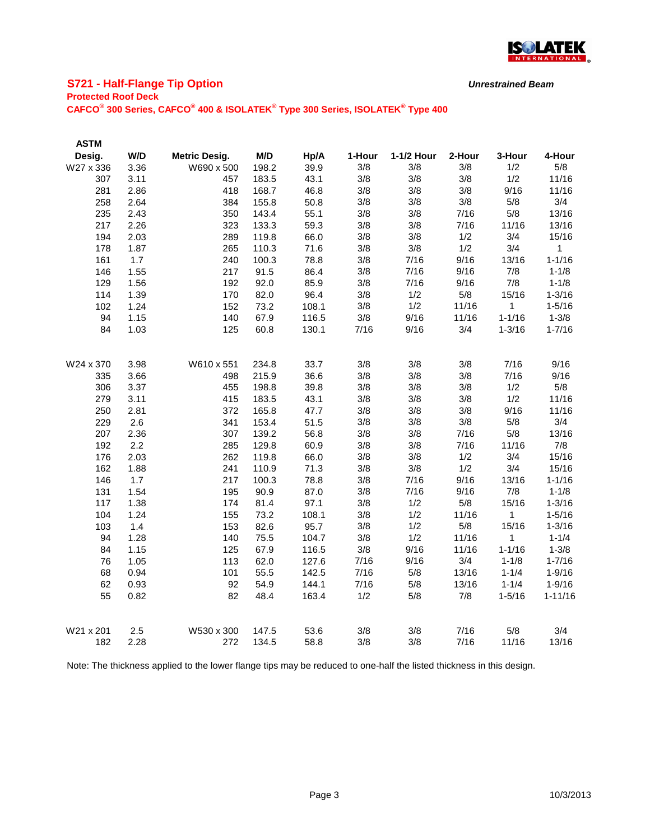

# **S721 - Half-Flange Tip Option**

#### **Protected Roof Deck**

**CAFCO® 300 Series, CAFCO® 400 & ISOLATEK® Type 300 Series, ISOLATEK® Type 400**

| <b>ASTM</b> |      |                      |       |       |        |            |        |             |             |
|-------------|------|----------------------|-------|-------|--------|------------|--------|-------------|-------------|
| Desig.      | W/D  | <b>Metric Desig.</b> | M/D   | Hp/A  | 1-Hour | 1-1/2 Hour | 2-Hour | 3-Hour      | 4-Hour      |
| W27 x 336   | 3.36 | W690 x 500           | 198.2 | 39.9  | 3/8    | 3/8        | 3/8    | 1/2         | 5/8         |
| 307         | 3.11 | 457                  | 183.5 | 43.1  | 3/8    | 3/8        | 3/8    | 1/2         | 11/16       |
| 281         | 2.86 | 418                  | 168.7 | 46.8  | 3/8    | 3/8        | 3/8    | 9/16        | 11/16       |
| 258         | 2.64 | 384                  | 155.8 | 50.8  | 3/8    | 3/8        | 3/8    | 5/8         | 3/4         |
| 235         | 2.43 | 350                  | 143.4 | 55.1  | 3/8    | 3/8        | 7/16   | 5/8         | 13/16       |
| 217         | 2.26 | 323                  | 133.3 | 59.3  | 3/8    | 3/8        | 7/16   | 11/16       | 13/16       |
| 194         | 2.03 | 289                  | 119.8 | 66.0  | 3/8    | 3/8        | 1/2    | 3/4         | 15/16       |
| 178         | 1.87 | 265                  | 110.3 | 71.6  | 3/8    | 3/8        | 1/2    | 3/4         | $\mathbf 1$ |
| 161         | 1.7  | 240                  | 100.3 | 78.8  | 3/8    | 7/16       | 9/16   | 13/16       | $1 - 1/16$  |
| 146         | 1.55 | 217                  | 91.5  | 86.4  | 3/8    | 7/16       | 9/16   | 7/8         | $1 - 1/8$   |
| 129         | 1.56 | 192                  | 92.0  | 85.9  | 3/8    | 7/16       | 9/16   | 7/8         | $1 - 1/8$   |
| 114         | 1.39 | 170                  | 82.0  | 96.4  | 3/8    | 1/2        | 5/8    | 15/16       | $1 - 3/16$  |
| 102         | 1.24 | 152                  | 73.2  | 108.1 | 3/8    | 1/2        | 11/16  | $\mathbf 1$ | $1 - 5/16$  |
| 94          | 1.15 | 140                  | 67.9  | 116.5 | 3/8    | 9/16       | 11/16  | $1 - 1/16$  | $1 - 3/8$   |
| 84          | 1.03 | 125                  | 60.8  | 130.1 | 7/16   | 9/16       | 3/4    | $1 - 3/16$  | $1 - 7/16$  |
|             |      |                      |       |       |        |            |        |             |             |
| W24 x 370   | 3.98 | W610 x 551           | 234.8 | 33.7  | 3/8    | 3/8        | 3/8    | 7/16        | 9/16        |
| 335         | 3.66 | 498                  | 215.9 | 36.6  | 3/8    | 3/8        | 3/8    | 7/16        | 9/16        |
| 306         | 3.37 | 455                  | 198.8 | 39.8  | 3/8    | 3/8        | 3/8    | 1/2         | 5/8         |
| 279         | 3.11 | 415                  | 183.5 | 43.1  | 3/8    | 3/8        | 3/8    | 1/2         | 11/16       |
| 250         | 2.81 | 372                  | 165.8 | 47.7  | 3/8    | 3/8        | 3/8    | 9/16        | 11/16       |
| 229         | 2.6  | 341                  | 153.4 | 51.5  | 3/8    | 3/8        | 3/8    | 5/8         | 3/4         |
| 207         | 2.36 | 307                  | 139.2 | 56.8  | 3/8    | 3/8        | 7/16   | 5/8         | 13/16       |
| 192         | 2.2  | 285                  | 129.8 | 60.9  | 3/8    | 3/8        | 7/16   | 11/16       | 7/8         |
| 176         | 2.03 | 262                  | 119.8 | 66.0  | 3/8    | 3/8        | 1/2    | 3/4         | 15/16       |
| 162         | 1.88 | 241                  | 110.9 | 71.3  | 3/8    | 3/8        | 1/2    | 3/4         | 15/16       |
| 146         | 1.7  | 217                  | 100.3 | 78.8  | 3/8    | 7/16       | 9/16   | 13/16       | $1 - 1/16$  |
| 131         | 1.54 | 195                  | 90.9  | 87.0  | 3/8    | 7/16       | 9/16   | 7/8         | $1 - 1/8$   |
| 117         | 1.38 | 174                  | 81.4  | 97.1  | 3/8    | 1/2        | 5/8    | 15/16       | $1 - 3/16$  |
| 104         | 1.24 | 155                  | 73.2  | 108.1 | 3/8    | 1/2        | 11/16  | 1           | $1 - 5/16$  |
| 103         | 1.4  | 153                  | 82.6  | 95.7  | 3/8    | 1/2        | 5/8    | 15/16       | $1 - 3/16$  |
| 94          | 1.28 | 140                  | 75.5  | 104.7 | 3/8    | 1/2        | 11/16  | 1           | $1 - 1/4$   |
| 84          | 1.15 | 125                  | 67.9  | 116.5 | 3/8    | 9/16       | 11/16  | $1 - 1/16$  | $1 - 3/8$   |
| 76          | 1.05 | 113                  | 62.0  | 127.6 | 7/16   | 9/16       | 3/4    | $1 - 1/8$   | $1 - 7/16$  |
| 68          | 0.94 | 101                  | 55.5  | 142.5 | 7/16   | 5/8        | 13/16  | $1 - 1/4$   | $1 - 9/16$  |
| 62          | 0.93 | 92                   | 54.9  | 144.1 | 7/16   | 5/8        | 13/16  | $1 - 1/4$   | $1 - 9/16$  |
| 55          | 0.82 | 82                   | 48.4  | 163.4 | 1/2    | 5/8        | 7/8    | $1 - 5/16$  | $1 - 11/16$ |
|             |      |                      |       |       |        |            |        |             |             |
| W21 x 201   | 2.5  | W530 x 300           | 147.5 | 53.6  | 3/8    | 3/8        | 7/16   | 5/8         | 3/4         |
| 182         | 2.28 | 272                  | 134.5 | 58.8  | 3/8    | 3/8        | 7/16   | 11/16       | 13/16       |

Note: The thickness applied to the lower flange tips may be reduced to one-half the listed thickness in this design.

*Unrestrained Beam*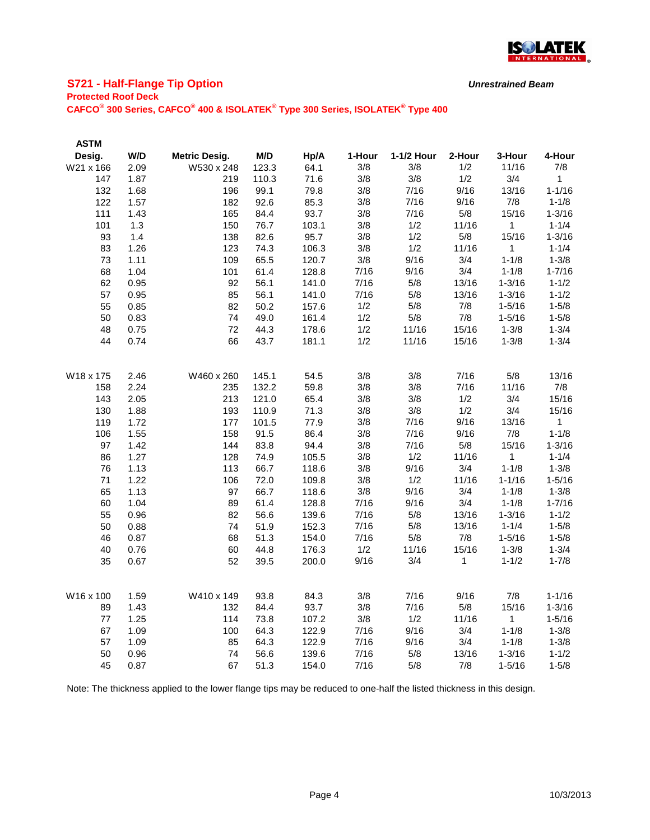

# **S721 - Half-Flange Tip Option**

**Protected Roof Deck**

**CAFCO® 300 Series, CAFCO® 400 & ISOLATEK® Type 300 Series, ISOLATEK® Type 400**

| <b>ASTM</b> |      |                      |       |       |        |            |        |              |              |
|-------------|------|----------------------|-------|-------|--------|------------|--------|--------------|--------------|
| Desig.      | W/D  | <b>Metric Desig.</b> | M/D   | Hp/A  | 1-Hour | 1-1/2 Hour | 2-Hour | 3-Hour       | 4-Hour       |
| W21 x 166   | 2.09 | W530 x 248           | 123.3 | 64.1  | 3/8    | 3/8        | 1/2    | 11/16        | 7/8          |
| 147         | 1.87 | 219                  | 110.3 | 71.6  | 3/8    | 3/8        | 1/2    | 3/4          | 1            |
| 132         | 1.68 | 196                  | 99.1  | 79.8  | 3/8    | 7/16       | 9/16   | 13/16        | $1 - 1/16$   |
| 122         | 1.57 | 182                  | 92.6  | 85.3  | 3/8    | 7/16       | 9/16   | 7/8          | $1 - 1/8$    |
| 111         | 1.43 | 165                  | 84.4  | 93.7  | 3/8    | 7/16       | 5/8    | 15/16        | $1 - 3/16$   |
| 101         | 1.3  | 150                  | 76.7  | 103.1 | 3/8    | 1/2        | 11/16  | 1            | $1 - 1/4$    |
| 93          | 1.4  | 138                  | 82.6  | 95.7  | 3/8    | 1/2        | 5/8    | 15/16        | $1 - 3/16$   |
| 83          | 1.26 | 123                  | 74.3  | 106.3 | 3/8    | 1/2        | 11/16  | 1            | $1 - 1/4$    |
| 73          | 1.11 | 109                  | 65.5  | 120.7 | 3/8    | 9/16       | 3/4    | $1 - 1/8$    | $1 - 3/8$    |
| 68          | 1.04 | 101                  | 61.4  | 128.8 | 7/16   | 9/16       | 3/4    | $1 - 1/8$    | $1 - 7/16$   |
| 62          | 0.95 | 92                   | 56.1  | 141.0 | 7/16   | 5/8        | 13/16  | $1 - 3/16$   | $1 - 1/2$    |
| 57          | 0.95 | 85                   | 56.1  | 141.0 | 7/16   | 5/8        | 13/16  | $1 - 3/16$   | $1 - 1/2$    |
| 55          | 0.85 | 82                   | 50.2  | 157.6 | 1/2    | 5/8        | 7/8    | $1 - 5/16$   | $1 - 5/8$    |
| 50          | 0.83 | 74                   | 49.0  | 161.4 | 1/2    | 5/8        | 7/8    | $1 - 5/16$   | $1 - 5/8$    |
| 48          | 0.75 | 72                   | 44.3  | 178.6 | 1/2    | 11/16      | 15/16  | $1 - 3/8$    | $1 - 3/4$    |
| 44          | 0.74 | 66                   | 43.7  | 181.1 | 1/2    | 11/16      | 15/16  | $1 - 3/8$    | $1 - 3/4$    |
|             |      |                      |       |       |        |            |        |              |              |
|             |      | W460 x 260           |       |       | 3/8    | 3/8        | 7/16   | 5/8          |              |
| W18 x 175   | 2.46 |                      | 145.1 | 54.5  |        | 3/8        | 7/16   | 11/16        | 13/16<br>7/8 |
| 158         | 2.24 | 235                  | 132.2 | 59.8  | 3/8    |            |        |              | 15/16        |
| 143         | 2.05 | 213                  | 121.0 | 65.4  | 3/8    | 3/8        | 1/2    | 3/4          |              |
| 130         | 1.88 | 193                  | 110.9 | 71.3  | 3/8    | 3/8        | 1/2    | 3/4          | 15/16        |
| 119         | 1.72 | 177                  | 101.5 | 77.9  | 3/8    | 7/16       | 9/16   | 13/16        | 1            |
| 106         | 1.55 | 158                  | 91.5  | 86.4  | 3/8    | 7/16       | 9/16   | 7/8          | $1 - 1/8$    |
| 97          | 1.42 | 144                  | 83.8  | 94.4  | 3/8    | 7/16       | 5/8    | 15/16        | $1 - 3/16$   |
| 86          | 1.27 | 128                  | 74.9  | 105.5 | 3/8    | 1/2        | 11/16  | 1            | $1 - 1/4$    |
| 76          | 1.13 | 113                  | 66.7  | 118.6 | 3/8    | 9/16       | 3/4    | $1 - 1/8$    | $1 - 3/8$    |
| 71          | 1.22 | 106                  | 72.0  | 109.8 | 3/8    | 1/2        | 11/16  | $1 - 1/16$   | $1 - 5/16$   |
| 65          | 1.13 | 97                   | 66.7  | 118.6 | 3/8    | 9/16       | 3/4    | $1 - 1/8$    | $1 - 3/8$    |
| 60          | 1.04 | 89                   | 61.4  | 128.8 | 7/16   | 9/16       | 3/4    | $1 - 1/8$    | $1 - 7/16$   |
| 55          | 0.96 | 82                   | 56.6  | 139.6 | 7/16   | 5/8        | 13/16  | $1 - 3/16$   | $1 - 1/2$    |
| 50          | 0.88 | 74                   | 51.9  | 152.3 | 7/16   | 5/8        | 13/16  | $1 - 1/4$    | $1 - 5/8$    |
| 46          | 0.87 | 68                   | 51.3  | 154.0 | 7/16   | 5/8        | 7/8    | $1 - 5/16$   | $1 - 5/8$    |
| 40          | 0.76 | 60                   | 44.8  | 176.3 | 1/2    | 11/16      | 15/16  | $1 - 3/8$    | $1 - 3/4$    |
| 35          | 0.67 | 52                   | 39.5  | 200.0 | 9/16   | 3/4        | 1      | $1 - 1/2$    | $1 - 7/8$    |
|             |      |                      |       |       |        |            |        |              |              |
| W16 x 100   | 1.59 | W410 x 149           | 93.8  | 84.3  | 3/8    | 7/16       | 9/16   | 7/8          | $1 - 1/16$   |
| 89          | 1.43 | 132                  | 84.4  | 93.7  | 3/8    | 7/16       | 5/8    | 15/16        | $1 - 3/16$   |
| 77          | 1.25 | 114                  | 73.8  | 107.2 | 3/8    | 1/2        | 11/16  | $\mathbf{1}$ | $1 - 5/16$   |
| 67          | 1.09 | 100                  | 64.3  | 122.9 | 7/16   | 9/16       | 3/4    | $1 - 1/8$    | $1 - 3/8$    |
| 57          | 1.09 | 85                   | 64.3  | 122.9 | 7/16   | 9/16       | 3/4    | $1 - 1/8$    | $1 - 3/8$    |
| 50          | 0.96 | 74                   | 56.6  | 139.6 | 7/16   | 5/8        | 13/16  | $1 - 3/16$   | $1 - 1/2$    |
| 45          | 0.87 | 67                   | 51.3  | 154.0 | 7/16   | 5/8        | 7/8    | $1 - 5/16$   | $1 - 5/8$    |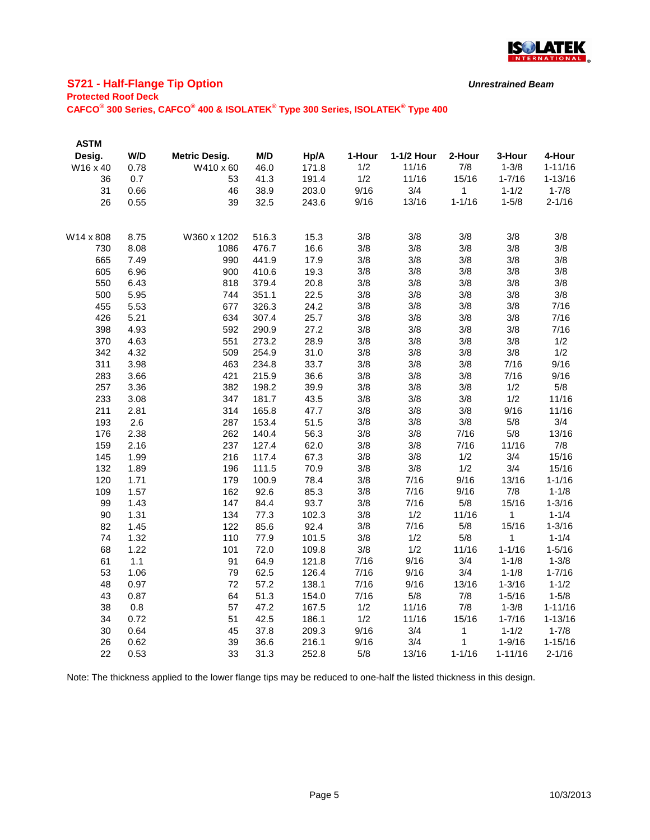

# **S721 - Half-Flange Tip Option**

#### **Protected Roof Deck**

**CAFCO® 300 Series, CAFCO® 400 & ISOLATEK® Type 300 Series, ISOLATEK® Type 400**

| <b>ASTM</b> |      |                      |       |       |        |            |            |              |             |
|-------------|------|----------------------|-------|-------|--------|------------|------------|--------------|-------------|
| Desig.      | W/D  | <b>Metric Desig.</b> | M/D   | Hp/A  | 1-Hour | 1-1/2 Hour | 2-Hour     | 3-Hour       | 4-Hour      |
| W16 x 40    | 0.78 | W410 x 60            | 46.0  | 171.8 | 1/2    | 11/16      | 7/8        | $1 - 3/8$    | $1 - 11/16$ |
| 36          | 0.7  | 53                   | 41.3  | 191.4 | 1/2    | 11/16      | 15/16      | $1 - 7/16$   | $1 - 13/16$ |
| 31          | 0.66 | 46                   | 38.9  | 203.0 | 9/16   | 3/4        | 1          | $1 - 1/2$    | $1 - 7/8$   |
| 26          | 0.55 | 39                   | 32.5  | 243.6 | 9/16   | 13/16      | $1 - 1/16$ | $1 - 5/8$    | $2 - 1/16$  |
| W14 x 808   | 8.75 | W360 x 1202          | 516.3 | 15.3  | 3/8    | 3/8        | 3/8        | 3/8          | 3/8         |
| 730         | 8.08 | 1086                 | 476.7 | 16.6  | 3/8    | 3/8        | 3/8        | 3/8          | 3/8         |
| 665         | 7.49 | 990                  | 441.9 | 17.9  | 3/8    | 3/8        | 3/8        | 3/8          | 3/8         |
| 605         | 6.96 | 900                  | 410.6 | 19.3  | 3/8    | 3/8        | 3/8        | 3/8          | 3/8         |
| 550         | 6.43 | 818                  | 379.4 | 20.8  | 3/8    | 3/8        | 3/8        | 3/8          | 3/8         |
| 500         | 5.95 | 744                  | 351.1 | 22.5  | 3/8    | 3/8        | 3/8        | 3/8          | 3/8         |
| 455         | 5.53 | 677                  | 326.3 | 24.2  | 3/8    | 3/8        | 3/8        | 3/8          | 7/16        |
| 426         | 5.21 | 634                  | 307.4 | 25.7  | 3/8    | 3/8        | 3/8        | 3/8          | 7/16        |
| 398         | 4.93 | 592                  | 290.9 | 27.2  | 3/8    | 3/8        | 3/8        | 3/8          | 7/16        |
| 370         | 4.63 | 551                  | 273.2 | 28.9  | 3/8    | 3/8        | 3/8        | 3/8          | 1/2         |
| 342         | 4.32 | 509                  | 254.9 | 31.0  | 3/8    | 3/8        | 3/8        | 3/8          | 1/2         |
| 311         | 3.98 | 463                  | 234.8 | 33.7  | 3/8    | 3/8        | 3/8        | 7/16         | 9/16        |
| 283         | 3.66 | 421                  | 215.9 | 36.6  | 3/8    | 3/8        | 3/8        | 7/16         | 9/16        |
| 257         | 3.36 | 382                  | 198.2 | 39.9  | 3/8    | 3/8        | 3/8        | 1/2          | 5/8         |
| 233         | 3.08 | 347                  | 181.7 | 43.5  | 3/8    | 3/8        | 3/8        | 1/2          | 11/16       |
| 211         | 2.81 | 314                  | 165.8 | 47.7  | 3/8    | 3/8        | 3/8        | 9/16         | 11/16       |
| 193         | 2.6  | 287                  | 153.4 | 51.5  | 3/8    | 3/8        | 3/8        | 5/8          | 3/4         |
| 176         | 2.38 | 262                  | 140.4 | 56.3  | 3/8    | 3/8        | 7/16       | 5/8          | 13/16       |
| 159         | 2.16 | 237                  | 127.4 | 62.0  | 3/8    | 3/8        | 7/16       | 11/16        | 7/8         |
| 145         | 1.99 | 216                  | 117.4 | 67.3  | 3/8    | 3/8        | 1/2        | 3/4          | 15/16       |
| 132         | 1.89 | 196                  | 111.5 | 70.9  | 3/8    | 3/8        | 1/2        | 3/4          | 15/16       |
| 120         | 1.71 | 179                  | 100.9 | 78.4  | 3/8    | 7/16       | 9/16       | 13/16        | $1 - 1/16$  |
| 109         | 1.57 | 162                  | 92.6  | 85.3  | 3/8    | 7/16       | 9/16       | 7/8          | $1 - 1/8$   |
| 99          | 1.43 | 147                  | 84.4  | 93.7  | 3/8    | 7/16       | 5/8        | 15/16        | $1 - 3/16$  |
| 90          | 1.31 | 134                  | 77.3  | 102.3 | 3/8    | 1/2        | 11/16      | $\mathbf{1}$ | $1 - 1/4$   |
| 82          | 1.45 | 122                  | 85.6  | 92.4  | 3/8    | 7/16       | 5/8        | 15/16        | $1 - 3/16$  |
| 74          | 1.32 | 110                  | 77.9  | 101.5 | 3/8    | 1/2        | 5/8        | 1            | $1 - 1/4$   |
| 68          | 1.22 | 101                  | 72.0  | 109.8 | 3/8    | 1/2        | 11/16      | $1 - 1/16$   | $1 - 5/16$  |
| 61          | 1.1  | 91                   | 64.9  | 121.8 | 7/16   | 9/16       | 3/4        | $1 - 1/8$    | $1 - 3/8$   |
| 53          | 1.06 | 79                   | 62.5  | 126.4 | 7/16   | 9/16       | 3/4        | $1 - 1/8$    | $1 - 7/16$  |
| 48          | 0.97 | 72                   | 57.2  | 138.1 | 7/16   | 9/16       | 13/16      | $1 - 3/16$   | $1 - 1/2$   |
| 43          | 0.87 | 64                   | 51.3  | 154.0 | 7/16   | 5/8        | 7/8        | $1 - 5/16$   | $1 - 5/8$   |
| 38          | 0.8  | 57                   | 47.2  | 167.5 | 1/2    | 11/16      | 7/8        | $1 - 3/8$    | $1 - 11/16$ |
| 34          | 0.72 | 51                   | 42.5  | 186.1 | 1/2    | 11/16      | 15/16      | $1 - 7/16$   | $1 - 13/16$ |
| 30          | 0.64 | 45                   | 37.8  | 209.3 | 9/16   | 3/4        | 1          | $1 - 1/2$    | $1 - 7/8$   |
| 26          | 0.62 | 39                   | 36.6  | 216.1 | 9/16   | 3/4        | 1          | $1 - 9/16$   | $1 - 15/16$ |
| 22          | 0.53 | 33                   | 31.3  | 252.8 | 5/8    | 13/16      | $1 - 1/16$ | $1 - 11/16$  | $2 - 1/16$  |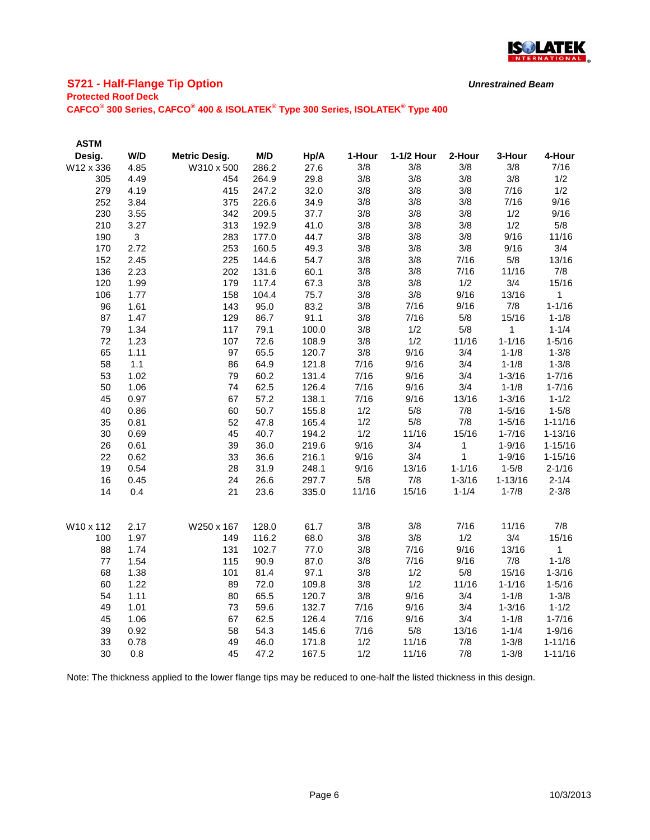

# **S721 - Half-Flange Tip Option**

**Protected Roof Deck**

**CAFCO® 300 Series, CAFCO® 400 & ISOLATEK® Type 300 Series, ISOLATEK® Type 400**

| <b>ASTM</b> |      |                      |       |       |        |            |            |             |              |
|-------------|------|----------------------|-------|-------|--------|------------|------------|-------------|--------------|
| Desig.      | W/D  | <b>Metric Desig.</b> | M/D   | Hp/A  | 1-Hour | 1-1/2 Hour | 2-Hour     | 3-Hour      | 4-Hour       |
| W12 x 336   | 4.85 | W310 x 500           | 286.2 | 27.6  | 3/8    | 3/8        | 3/8        | 3/8         | 7/16         |
| 305         | 4.49 | 454                  | 264.9 | 29.8  | 3/8    | 3/8        | 3/8        | 3/8         | 1/2          |
| 279         | 4.19 | 415                  | 247.2 | 32.0  | 3/8    | 3/8        | 3/8        | 7/16        | 1/2          |
| 252         | 3.84 | 375                  | 226.6 | 34.9  | 3/8    | 3/8        | 3/8        | 7/16        | 9/16         |
| 230         | 3.55 | 342                  | 209.5 | 37.7  | 3/8    | 3/8        | 3/8        | 1/2         | 9/16         |
| 210         | 3.27 | 313                  | 192.9 | 41.0  | 3/8    | 3/8        | 3/8        | 1/2         | 5/8          |
| 190         | 3    | 283                  | 177.0 | 44.7  | 3/8    | 3/8        | 3/8        | 9/16        | 11/16        |
| 170         | 2.72 | 253                  | 160.5 | 49.3  | 3/8    | 3/8        | 3/8        | 9/16        | 3/4          |
| 152         | 2.45 | 225                  | 144.6 | 54.7  | 3/8    | 3/8        | 7/16       | 5/8         | 13/16        |
| 136         | 2.23 | 202                  | 131.6 | 60.1  | 3/8    | 3/8        | 7/16       | 11/16       | 7/8          |
| 120         | 1.99 | 179                  | 117.4 | 67.3  | 3/8    | 3/8        | 1/2        | 3/4         | 15/16        |
| 106         | 1.77 | 158                  | 104.4 | 75.7  | 3/8    | 3/8        | 9/16       | 13/16       | $\mathbf{1}$ |
| 96          | 1.61 | 143                  | 95.0  | 83.2  | 3/8    | 7/16       | 9/16       | 7/8         | $1 - 1/16$   |
| 87          | 1.47 | 129                  | 86.7  | 91.1  | 3/8    | 7/16       | 5/8        | 15/16       | $1 - 1/8$    |
| 79          | 1.34 | 117                  | 79.1  | 100.0 | 3/8    | 1/2        | 5/8        | 1           | $1 - 1/4$    |
| 72          | 1.23 | 107                  | 72.6  | 108.9 | 3/8    | 1/2        | 11/16      | $1 - 1/16$  | $1 - 5/16$   |
| 65          | 1.11 | 97                   | 65.5  | 120.7 | 3/8    | 9/16       | 3/4        | $1 - 1/8$   | $1 - 3/8$    |
| 58          | 1.1  | 86                   | 64.9  | 121.8 | 7/16   | 9/16       | 3/4        | $1 - 1/8$   | $1 - 3/8$    |
| 53          | 1.02 | 79                   | 60.2  | 131.4 | 7/16   | 9/16       | 3/4        | $1 - 3/16$  | $1 - 7/16$   |
| 50          | 1.06 | 74                   | 62.5  | 126.4 | 7/16   | 9/16       | 3/4        | $1 - 1/8$   | $1 - 7/16$   |
| 45          | 0.97 | 67                   | 57.2  | 138.1 | 7/16   | 9/16       | 13/16      | $1 - 3/16$  | $1 - 1/2$    |
| 40          | 0.86 | 60                   | 50.7  | 155.8 | 1/2    | 5/8        | 7/8        | $1 - 5/16$  | $1 - 5/8$    |
| 35          | 0.81 | 52                   | 47.8  | 165.4 | 1/2    | 5/8        | 7/8        | $1 - 5/16$  | $1 - 11/16$  |
| 30          | 0.69 | 45                   | 40.7  | 194.2 | 1/2    | 11/16      | 15/16      | $1 - 7/16$  | $1 - 13/16$  |
| 26          | 0.61 | 39                   | 36.0  | 219.6 | 9/16   | 3/4        | 1          | $1 - 9/16$  | $1 - 15/16$  |
| 22          | 0.62 | 33                   | 36.6  | 216.1 | 9/16   | 3/4        | 1          | $1 - 9/16$  | $1 - 15/16$  |
| 19          | 0.54 | 28                   | 31.9  | 248.1 | 9/16   | 13/16      | $1 - 1/16$ | $1 - 5/8$   | $2 - 1/16$   |
| 16          | 0.45 | 24                   | 26.6  | 297.7 | 5/8    | 7/8        | $1 - 3/16$ | $1 - 13/16$ | $2 - 1/4$    |
| 14          | 0.4  | 21                   | 23.6  | 335.0 | 11/16  | 15/16      | $1 - 1/4$  | $1 - 7/8$   | $2 - 3/8$    |
| W10 x 112   | 2.17 | W250 x 167           | 128.0 | 61.7  | 3/8    | 3/8        | 7/16       | 11/16       | 7/8          |
| 100         | 1.97 | 149                  | 116.2 | 68.0  | 3/8    | 3/8        | 1/2        | 3/4         | 15/16        |
| 88          | 1.74 | 131                  | 102.7 | 77.0  | 3/8    | 7/16       | 9/16       | 13/16       | 1            |
| 77          | 1.54 | 115                  | 90.9  | 87.0  | 3/8    | 7/16       | 9/16       | 7/8         | $1 - 1/8$    |
| 68          | 1.38 | 101                  | 81.4  | 97.1  | 3/8    | 1/2        | 5/8        | 15/16       | $1 - 3/16$   |
| 60          | 1.22 | 89                   | 72.0  | 109.8 | 3/8    | 1/2        | 11/16      | $1 - 1/16$  | $1 - 5/16$   |
| 54          | 1.11 | 80                   | 65.5  | 120.7 | 3/8    | 9/16       | 3/4        | $1 - 1/8$   | $1 - 3/8$    |
| 49          | 1.01 | 73                   | 59.6  | 132.7 | 7/16   | 9/16       | 3/4        | $1 - 3/16$  | $1 - 1/2$    |
| 45          | 1.06 | 67                   | 62.5  | 126.4 | 7/16   | 9/16       | 3/4        | $1 - 1/8$   | $1 - 7/16$   |
| 39          | 0.92 | 58                   | 54.3  | 145.6 | 7/16   | 5/8        | 13/16      | $1 - 1/4$   | $1 - 9/16$   |
| 33          | 0.78 | 49                   | 46.0  | 171.8 | 1/2    | 11/16      | 7/8        | $1 - 3/8$   | $1 - 11/16$  |
| 30          | 0.8  | 45                   | 47.2  | 167.5 | 1/2    | 11/16      | 7/8        | $1 - 3/8$   | $1 - 11/16$  |